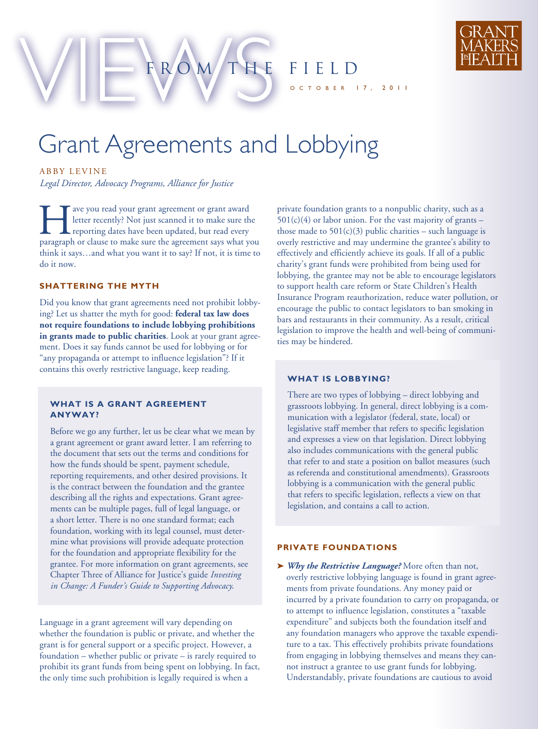

Grant Agreements and Lobbying

ROM THE FIELD

ABBY LEVINE

*Legal Director, Advocacy Programs, Alliance for Justice*

The ave you read your grant agreement or grant award<br>letter recently? Not just scanned it to make sure the<br>reporting dates have been updated, but read every<br>paragraph or clause to make sure the agreement says what y letter recently? Not just scanned it to make sure the reporting dates have been updated, but read every paragraph or clause to make sure the agreement says what you think it says…and what you want it to say? If not, it is time to do it now.

# **SHATTERING THE MYTH**

Did you know that grant agreements need not prohibit lobbying? Let us shatter the myth for good: **federal tax law does not require foundations to include lobbying prohibitions in grants made to public charities**. Look at your grant agreement. Does it say funds cannot be used for lobbying or for "any propaganda or attempt to influence legislation"? If it contains this overly restrictive language, keep reading.

## **WHAT IS A GRANT AGREEMENT ANYWAY?**

Before we go any further, let us be clear what we mean by a grant agreement or grant award letter. I am referring to the document that sets out the terms and conditions for how the funds should be spent, payment schedule, reporting requirements, and other desired provisions. It is the contract between the foundation and the grantee describing all the rights and expectations. Grant agreements can be multiple pages, full of legal language, or a short letter. There is no one standard format; each foundation, working with its legal counsel, must determine what provisions will provide adequate protection for the foundation and appropriate flexibility for the grantee. For more information on grant agreements, see Chapter Three of Alliance for Justice's guide *Investing in Change: A Funder's Guide to Supporting Advocacy*.

Language in a grant agreement will vary depending on whether the foundation is public or private, and whether the grant is for general support or a specific project. However, a foundation – whether public or private – is rarely required to prohibit its grant funds from being spent on lobbying. In fact, the only time such prohibition is legally required is when a

private foundation grants to a nonpublic charity, such as a  $501(c)(4)$  or labor union. For the vast majority of grants – those made to  $501(c)(3)$  public charities – such language is overly restrictive and may undermine the grantee's ability to effectively and efficiently achieve its goals. If all of a public charity's grant funds were prohibited from being used for lobbying, the grantee may not be able to encourage legislators to support health care reform or State Children's Health Insurance Program reauthorization, reduce water pollution, or encourage the public to contact legislators to ban smoking in bars and restaurants in their community. As a result, critical legislation to improve the health and well-being of communities may be hindered.

 $17, 2011$ 

# **WHAT IS LOBBYING?**

There are two types of lobbying – direct lobbying and grassroots lobbying. In general, direct lobbying is a communication with a legislator (federal, state, local) or legislative staff member that refers to specific legislation and expresses a view on that legislation. Direct lobbying also includes communications with the general public that refer to and state a position on ballot measures (such as referenda and constitutional amendments). Grassroots lobbying is a communication with the general public that refers to specific legislation, reflects a view on that legislation, and contains a call to action.

#### **PRIVATE FOUNDATIONS**

**➤** *Why the Restrictive Language?* More often than not, overly restrictive lobbying language is found in grant agreements from private foundations. Any money paid or incurred by a private foundation to carry on propaganda, or to attempt to influence legislation, constitutes a "taxable expenditure" and subjects both the foundation itself and any foundation managers who approve the taxable expenditure to a tax. This effectively prohibits private foundations from engaging in lobbying themselves and means they cannot instruct a grantee to use grant funds for lobbying. Understandably, private foundations are cautious to avoid